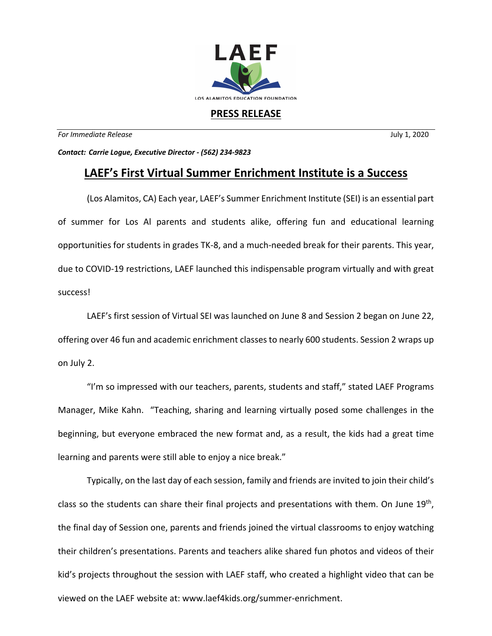

## **PRESS RELEASE**

*For Immediate Release* July 1, 2020

*Contact: Carrie Logue, Executive Director - (562) 234-9823*

## **LAEF's First Virtual Summer Enrichment Institute is a Success**

(Los Alamitos, CA) Each year, LAEF's Summer Enrichment Institute (SEI) is an essential part of summer for Los Al parents and students alike, offering fun and educational learning opportunities for students in grades TK-8, and a much-needed break for their parents. This year, due to COVID-19 restrictions, LAEF launched this indispensable program virtually and with great success!

LAEF's first session of Virtual SEI was launched on June 8 and Session 2 began on June 22, offering over 46 fun and academic enrichment classes to nearly 600 students. Session 2 wraps up on July 2.

"I'm so impressed with our teachers, parents, students and staff," stated LAEF Programs Manager, Mike Kahn. "Teaching, sharing and learning virtually posed some challenges in the beginning, but everyone embraced the new format and, as a result, the kids had a great time learning and parents were still able to enjoy a nice break."

Typically, on the last day of each session, family and friends are invited to join their child's class so the students can share their final projects and presentations with them. On June  $19<sup>th</sup>$ , the final day of Session one, parents and friends joined the virtual classrooms to enjoy watching their children's presentations. Parents and teachers alike shared fun photos and videos of their kid's projects throughout the session with LAEF staff, who created a highlight video that can be viewed on the LAEF website at: www.laef4kids.org/summer-enrichment.